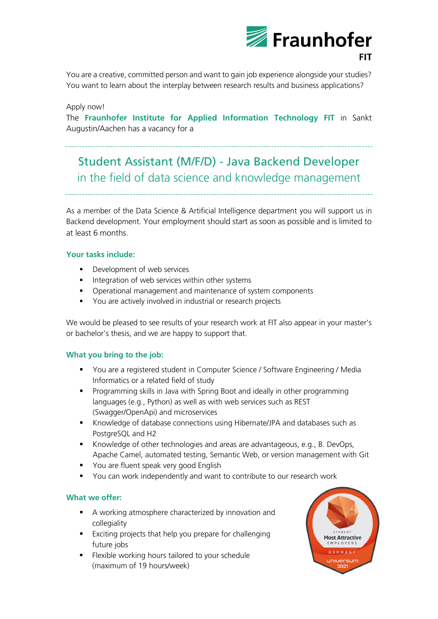

You are a creative, committed person and want to gain job experience alongside your studies? You want to learn about the interplay between research results and business applications?

#### Apply now!

The **Fraunhofer Institute for Applied Information Technology FIT** in Sankt Augustin/Aachen has a vacancy for a

# Student Assistant (M/F/D) - Java Backend Developer in the field of data science and knowledge management

As a member of the Data Science & Artificial Intelligence department you will support us in Backend development. Your employment should start as soon as possible and is limited to at least 6 months.

### **Your tasks include:**

- Development of web services
- **■** Integration of web services within other systems
- Operational management and maintenance of system components
- You are actively involved in industrial or research projects

We would be pleased to see results of your research work at FIT also appear in your master's or bachelor's thesis, and we are happy to support that.

### **What you bring to the job:**

- You are a registered student in Computer Science / Software Engineering / Media Informatics or a related field of study
- Programming skills in Java with Spring Boot and ideally in other programming languages (e.g., Python) as well as with web services such as REST (Swagger/OpenApi) and microservices
- Knowledge of database connections using Hibernate/JPA and databases such as PostgreSQL and H2
- Knowledge of other technologies and areas are advantageous, e.g., B. DevOps, Apache Camel, automated testing, Semantic Web, or version management with Git
- You are fluent speak very good English
- You can work independently and want to contribute to our research work

### **What we offer:**

- A working atmosphere characterized by innovation and collegiality
- Exciting projects that help you prepare for challenging future jobs
- Flexible working hours tailored to your schedule (maximum of 19 hours/week)